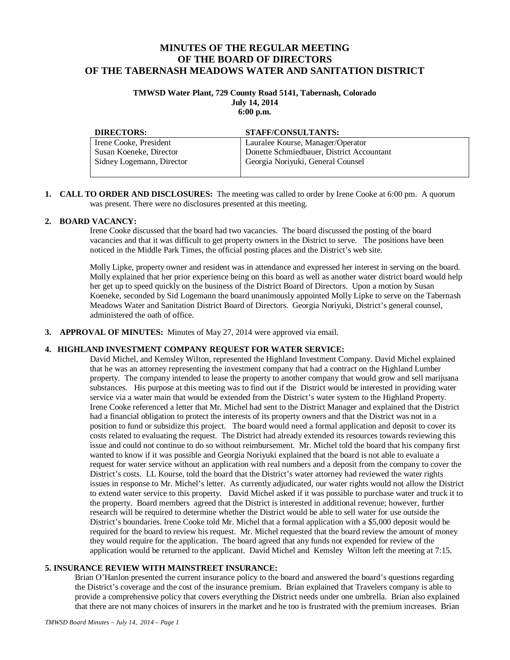# **MINUTES OF THE REGULAR MEETING OF THE BOARD OF DIRECTORS OF THE TABERNASH MEADOWS WATER AND SANITATION DISTRICT**

### **TMWSD Water Plant, 729 County Road 5141, Tabernash, Colorado July 14, 2014 6:00 p.m.**

| <b>DIRECTORS:</b>         | <b>STAFF/CONSULTANTS:</b>                 |
|---------------------------|-------------------------------------------|
| Irene Cooke, President    | Lauralee Kourse, Manager/Operator         |
| Susan Koeneke, Director   | Donette Schmiedbauer, District Accountant |
| Sidney Logemann, Director | Georgia Noriyuki, General Counsel         |
|                           |                                           |

**1. CALL TO ORDER AND DISCLOSURES:** The meeting was called to order by Irene Cooke at 6:00 pm. A quorum was present. There were no disclosures presented at this meeting.

### **2. BOARD VACANCY:**

Irene Cooke discussed that the board had two vacancies. The board discussed the posting of the board vacancies and that it was difficult to get property owners in the District to serve. The positions have been noticed in the Middle Park Times, the official posting places and the District's web site.

Molly Lipke, property owner and resident was in attendance and expressed her interest in serving on the board. Molly explained that her prior experience being on this board as well as another water district board would help her get up to speed quickly on the business of the District Board of Directors. Upon a motion by Susan Koeneke, seconded by Sid Logemann the board unanimously appointed Molly Lipke to serve on the Tabernash Meadows Water and Sanitation District Board of Directors. Georgia Noriyuki, District's general counsel, administered the oath of office.

**3. APPROVAL OF MINUTES:** Minutes of May 27, 2014 were approved via email.

#### **4. HIGHLAND INVESTMENT COMPANY REQUEST FOR WATER SERVICE:**

David Michel, and Kemsley Wilton, represented the Highland Investment Company. David Michel explained that he was an attorney representing the investment company that had a contract on the Highland Lumber property. The company intended to lease the property to another company that would grow and sell marijuana substances. His purpose at this meeting was to find out if the District would be interested in providing water service via a water main that would be extended from the District's water system to the Highland Property. Irene Cooke referenced a letter that Mr. Michel had sent to the District Manager and explained that the District had a financial obligation to protect the interests of its property owners and that the District was not in a position to fund or subsidize this project. The board would need a formal application and deposit to cover its costs related to evaluating the request. The District had already extended its resources towards reviewing this issue and could not continue to do so without reimbursement. Mr. Michel told the board that his company first wanted to know if it was possible and Georgia Noriyuki explained that the board is not able to evaluate a request for water service without an application with real numbers and a deposit from the company to cover the District's costs. LL Kourse, told the board that the District's water attorney had reviewed the water rights issues in response to Mr. Michel's letter. As currently adjudicated, our water rights would not allow the District to extend water service to this property. David Michel asked if it was possible to purchase water and truck it to the property. Board members agreed that the District is interested in additional revenue; however, further research will be required to determine whether the District would be able to sell water for use outside the District's boundaries. Irene Cooke told Mr. Michel that a formal application with a \$5,000 deposit would be required for the board to review his request. Mr. Michel requested that the board review the amount of money they would require for the application. The board agreed that any funds not expended for review of the application would be returned to the applicant. David Michel and Kemsley Wilton left the meeting at 7:15.

#### **5. INSURANCE REVIEW WITH MAINSTREET INSURANCE:**

Brian O'Hanlon presented the current insurance policy to the board and answered the board's questions regarding the District's coverage and the cost of the insurance premium. Brian explained that Travelers company is able to provide a comprehensive policy that covers everything the District needs under one umbrella. Brian also explained that there are not many choices of insurers in the market and he too is frustrated with the premium increases. Brian